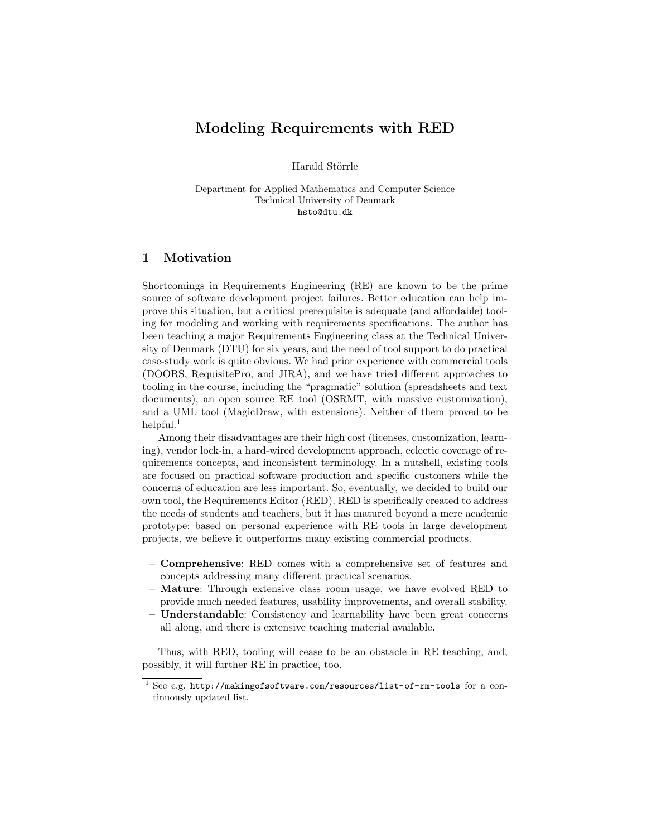# Modeling Requirements with RED

Harald Störrle

Department for Applied Mathematics and Computer Science Technical University of Denmark hsto@dtu.dk

# 1 Motivation

Shortcomings in Requirements Engineering (RE) are known to be the prime source of software development project failures. Better education can help improve this situation, but a critical prerequisite is adequate (and affordable) tooling for modeling and working with requirements specifications. The author has been teaching a major Requirements Engineering class at the Technical University of Denmark (DTU) for six years, and the need of tool support to do practical case-study work is quite obvious. We had prior experience with commercial tools (DOORS, RequisitePro, and JIRA), and we have tried different approaches to tooling in the course, including the "pragmatic" solution (spreadsheets and text documents), an open source RE tool (OSRMT, with massive customization), and a UML tool (MagicDraw, with extensions). Neither of them proved to be helpful. $<sup>1</sup>$ </sup>

Among their disadvantages are their high cost (licenses, customization, learning), vendor lock-in, a hard-wired development approach, eclectic coverage of requirements concepts, and inconsistent terminology. In a nutshell, existing tools are focused on practical software production and specific customers while the concerns of education are less important. So, eventually, we decided to build our own tool, the Requirements Editor (RED). RED is specifically created to address the needs of students and teachers, but it has matured beyond a mere academic prototype: based on personal experience with RE tools in large development projects, we believe it outperforms many existing commercial products.

- Comprehensive: RED comes with a comprehensive set of features and concepts addressing many different practical scenarios.
- Mature: Through extensive class room usage, we have evolved RED to provide much needed features, usability improvements, and overall stability.
- Understandable: Consistency and learnability have been great concerns all along, and there is extensive teaching material available.

Thus, with RED, tooling will cease to be an obstacle in RE teaching, and, possibly, it will further RE in practice, too.

<sup>1</sup> See e.g. http://makingofsoftware.com/resources/list-of-rm-tools for a continuously updated list.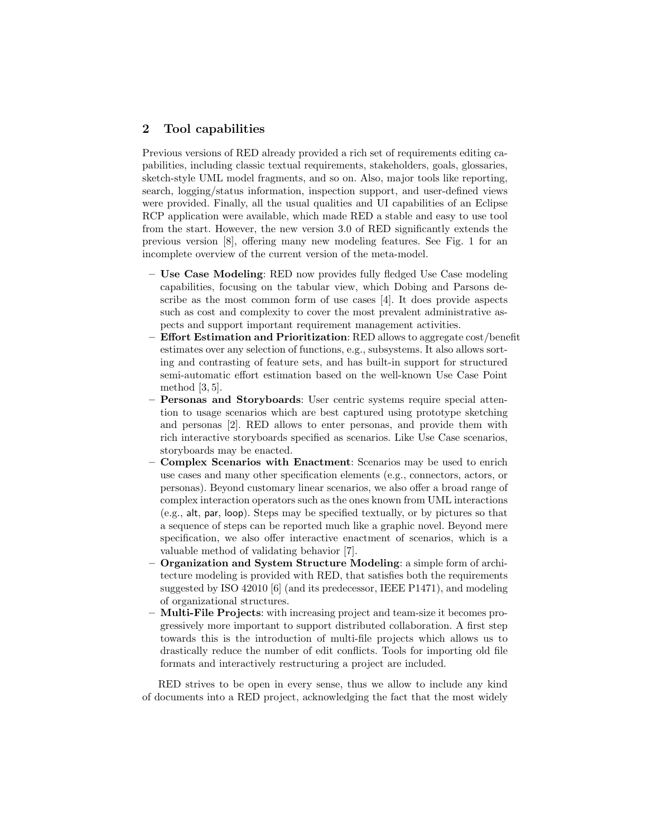# 2 Tool capabilities

Previous versions of RED already provided a rich set of requirements editing capabilities, including classic textual requirements, stakeholders, goals, glossaries, sketch-style UML model fragments, and so on. Also, major tools like reporting, search, logging/status information, inspection support, and user-defined views were provided. Finally, all the usual qualities and UI capabilities of an Eclipse RCP application were available, which made RED a stable and easy to use tool from the start. However, the new version 3.0 of RED significantly extends the previous version [8], offering many new modeling features. See Fig. 1 for an incomplete overview of the current version of the meta-model.

- Use Case Modeling: RED now provides fully fledged Use Case modeling capabilities, focusing on the tabular view, which Dobing and Parsons describe as the most common form of use cases [4]. It does provide aspects such as cost and complexity to cover the most prevalent administrative aspects and support important requirement management activities.
- $-$  Effort Estimation and Prioritization: RED allows to aggregate cost/benefit estimates over any selection of functions, e.g., subsystems. It also allows sorting and contrasting of feature sets, and has built-in support for structured semi-automatic effort estimation based on the well-known Use Case Point method [3, 5].
- Personas and Storyboards: User centric systems require special attention to usage scenarios which are best captured using prototype sketching and personas [2]. RED allows to enter personas, and provide them with rich interactive storyboards specified as scenarios. Like Use Case scenarios, storyboards may be enacted.
- Complex Scenarios with Enactment: Scenarios may be used to enrich use cases and many other specification elements (e.g., connectors, actors, or personas). Beyond customary linear scenarios, we also offer a broad range of complex interaction operators such as the ones known from UML interactions (e.g., alt, par, loop). Steps may be specified textually, or by pictures so that a sequence of steps can be reported much like a graphic novel. Beyond mere specification, we also offer interactive enactment of scenarios, which is a valuable method of validating behavior [7].
- Organization and System Structure Modeling: a simple form of architecture modeling is provided with RED, that satisfies both the requirements suggested by ISO 42010 [6] (and its predecessor, IEEE P1471), and modeling of organizational structures.
- Multi-File Projects: with increasing project and team-size it becomes progressively more important to support distributed collaboration. A first step towards this is the introduction of multi-file projects which allows us to drastically reduce the number of edit conflicts. Tools for importing old file formats and interactively restructuring a project are included.

RED strives to be open in every sense, thus we allow to include any kind of documents into a RED project, acknowledging the fact that the most widely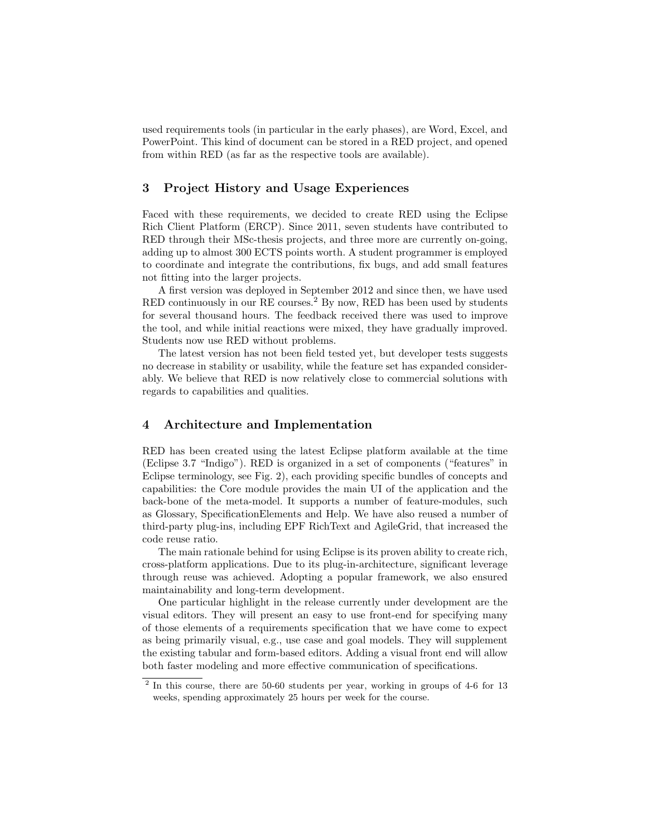used requirements tools (in particular in the early phases), are Word, Excel, and PowerPoint. This kind of document can be stored in a RED project, and opened from within RED (as far as the respective tools are available).

## 3 Project History and Usage Experiences

Faced with these requirements, we decided to create RED using the Eclipse Rich Client Platform (ERCP). Since 2011, seven students have contributed to RED through their MSc-thesis projects, and three more are currently on-going, adding up to almost 300 ECTS points worth. A student programmer is employed to coordinate and integrate the contributions, fix bugs, and add small features not fitting into the larger projects.

A first version was deployed in September 2012 and since then, we have used RED continuously in our RE courses.<sup>2</sup> By now, RED has been used by students for several thousand hours. The feedback received there was used to improve the tool, and while initial reactions were mixed, they have gradually improved. Students now use RED without problems.

The latest version has not been field tested yet, but developer tests suggests no decrease in stability or usability, while the feature set has expanded considerably. We believe that RED is now relatively close to commercial solutions with regards to capabilities and qualities.

# 4 Architecture and Implementation

RED has been created using the latest Eclipse platform available at the time (Eclipse 3.7 "Indigo"). RED is organized in a set of components ("features" in Eclipse terminology, see Fig. 2), each providing specific bundles of concepts and capabilities: the Core module provides the main UI of the application and the back-bone of the meta-model. It supports a number of feature-modules, such as Glossary, SpecificationElements and Help. We have also reused a number of third-party plug-ins, including EPF RichText and AgileGrid, that increased the code reuse ratio.

The main rationale behind for using Eclipse is its proven ability to create rich, cross-platform applications. Due to its plug-in-architecture, significant leverage through reuse was achieved. Adopting a popular framework, we also ensured maintainability and long-term development.

One particular highlight in the release currently under development are the visual editors. They will present an easy to use front-end for specifying many of those elements of a requirements specification that we have come to expect as being primarily visual, e.g., use case and goal models. They will supplement the existing tabular and form-based editors. Adding a visual front end will allow both faster modeling and more effective communication of specifications.

<sup>&</sup>lt;sup>2</sup> In this course, there are 50-60 students per year, working in groups of 4-6 for 13 weeks, spending approximately 25 hours per week for the course.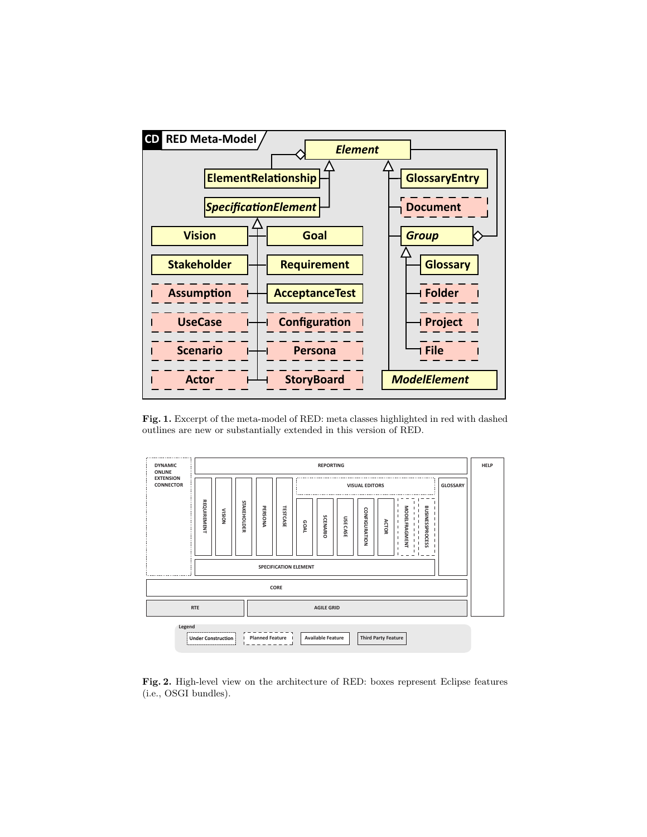

Fig. 1. Excerpt of the meta-model of RED: meta classes highlighted in red with dashed outlines are new or substantially extended in this version of RED.



Fig. 2. High-level view on the architecture of RED: boxes represent Eclipse features (i.e., OSGI bundles).